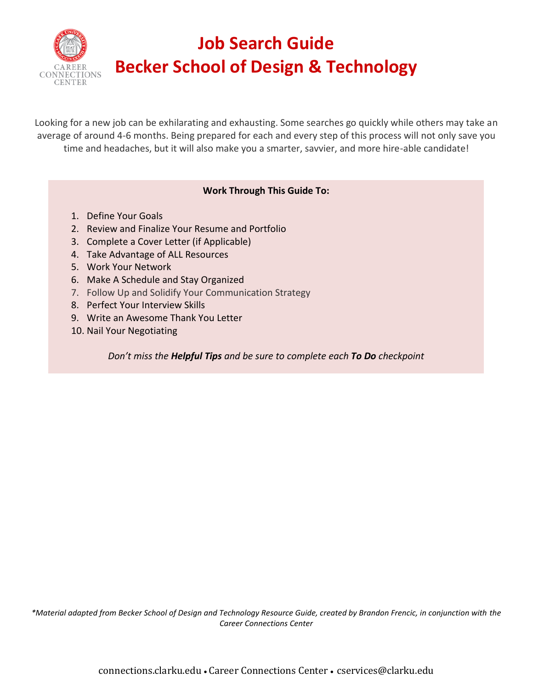

# **Job Search Guide Becker School of Design & Technology**

Looking for a new job can be exhilarating and exhausting. Some searches go quickly while others may take an average of around 4-6 months. Being prepared for each and every step of this process will not only save you time and headaches, but it will also make you a smarter, savvier, and more hire-able candidate!

## **Work Through This Guide To:**

- 1. Define Your Goals
- 2. Review and Finalize Your Resume and Portfolio
- 3. Complete a Cover Letter (if Applicable)
- 4. Take Advantage of ALL Resources
- 5. Work Your Network
- 6. Make A Schedule and Stay Organized
- 7. Follow Up and Solidify Your Communication Strategy
- 8. Perfect Your Interview Skills
- 9. Write an Awesome Thank You Letter
- 10. Nail Your Negotiating

*Don't miss the Helpful Tips and be sure to complete each To Do checkpoint*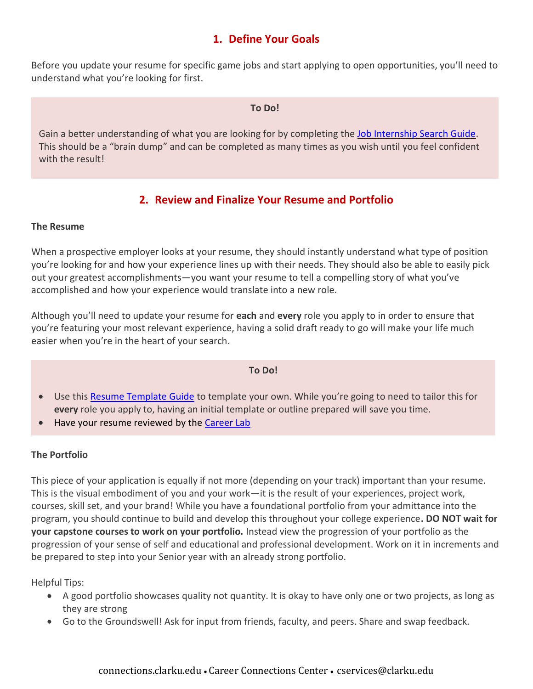# **1. Define Your Goals**

Before you update your resume for specific game jobs and start applying to open opportunities, you'll need to understand what you're looking for first.

#### **To Do!**

Gain a better understanding of what you are looking for by completing the [Job Internship Search Guide.](https://www.clarku.edu/offices/career-connections-center/wp-content/blogs.dir/3/files/sites/74/2020/09/Job-Internship-Search-Strategies-Spring-2020.pdf) This should be a "brain dump" and can be completed as many times as you wish until you feel confident with the result!

# **2. Review and Finalize Your Resume and Portfolio**

## **The Resume**

When a prospective employer looks at your resume, they should instantly understand what type of position you're looking for and how your experience lines up with their needs. They should also be able to easily pick out your greatest accomplishments—you want your resume to tell a compelling story of what you've accomplished and how your experience would translate into a new role.

Although you'll need to update your resume for **each** and **every** role you apply to in order to ensure that you're featuring your most relevant experience, having a solid draft ready to go will make your life much easier when you're in the heart of your search.

#### **To Do!**

- Use this [Resume Template Guide](https://www.clarku.edu/offices/career-connections-center/wp-content/blogs.dir/3/files/sites/74/2021/12/BSDT_ResumeGuide.pdf) to template your own. While you're going to need to tailor this for **every** role you apply to, having an initial template or outline prepared will save you time.
- Have your resume reviewed by the [Career Lab](https://www.clarku.edu/offices/career-connections-center/resources/career-lab/)

## **The Portfolio**

This piece of your application is equally if not more (depending on your track) important than your resume. This is the visual embodiment of you and your work—it is the result of your experiences, project work, courses, skill set, and your brand! While you have a foundational portfolio from your admittance into the program, you should continue to build and develop this throughout your college experience**. DO NOT wait for your capstone courses to work on your portfolio.** Instead view the progression of your portfolio as the progression of your sense of self and educational and professional development. Work on it in increments and be prepared to step into your Senior year with an already strong portfolio.

Helpful Tips:

- A good portfolio showcases quality not quantity. It is okay to have only one or two projects, as long as they are strong
- Go to the Groundswell! Ask for input from friends, faculty, and peers. Share and swap feedback.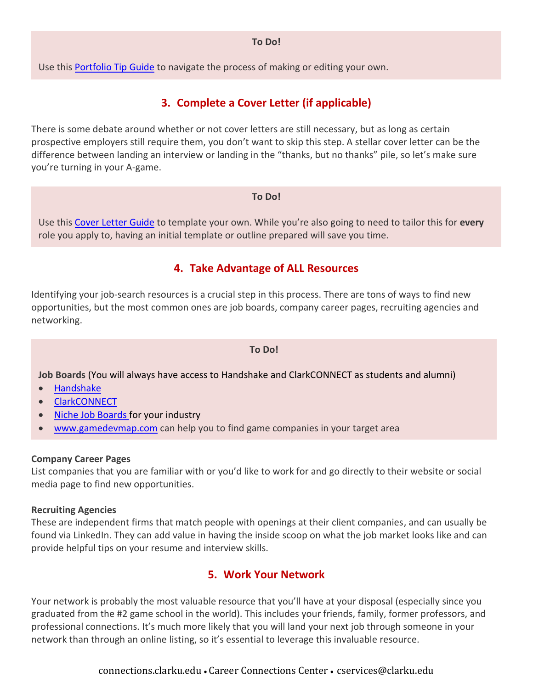#### **To Do!**

Use this [Portfolio Tip Guide](https://www.clarku.edu/offices/career-connections-center/wp-content/blogs.dir/3/files/sites/74/2021/12/BSDT_PortfolioGuide.pdf) to navigate the process of making or editing your own.

# **3. Complete a Cover Letter (if applicable)**

There is some debate around whether or not cover letters are still necessary, but as long as certain prospective employers still require them, you don't want to skip this step. A stellar cover letter can be the difference between landing an interview or landing in the "thanks, but no thanks" pile, so let's make sure you're turning in your A-game.

#### **To Do!**

Use this [Cover Letter Guide](https://www.clarku.edu/offices/career-connections-center/wp-content/blogs.dir/3/files/sites/74/2019/07/Cover-Letter-Guide.pdf) to template your own. While you're also going to need to tailor this for **every** role you apply to, having an initial template or outline prepared will save you time.

## **4. Take Advantage of ALL Resources**

Identifying your job-search resources is a crucial step in this process. There are tons of ways to find new opportunities, but the most common ones are job boards, company career pages, recruiting agencies and networking.

## **To Do!**

**Job Boards** (You will always have access to Handshake and ClarkCONNECT as students and alumni)

- [Handshake](https://app.joinhandshake.com/login?school_approval_token=U_PyX3EqMccruqH0OA5XOarBrC09NN1taM0T2hHY3keyT4G9tk00iA)
- [ClarkCONNECT](https://clarkconnect.clarku.edu/hub/clark-connect/home-v3)
- [Niche Job Boards f](https://www.clarku.edu/offices/career-connections-center/get-ready/find-jobs-and-internships/)or your industry
- [www.gamedevmap.com](http://www.gamedevmap.com/) can help you to find game companies in your target area

## **Company Career Pages**

List companies that you are familiar with or you'd like to work for and go directly to their website or social media page to find new opportunities.

## **Recruiting Agencies**

These are independent firms that match people with openings at their client companies, and can usually be found via LinkedIn. They can add value in having the inside scoop on what the job market looks like and can provide helpful tips on your resume and interview skills.

# **5. Work Your Network**

Your network is probably the most valuable resource that you'll have at your disposal (especially since you graduated from the #2 game school in the world). This includes your friends, family, former professors, and professional connections. It's much more likely that you will land your next job through someone in your network than through an online listing, so it's essential to leverage this invaluable resource.

## connections.clarku.edu • Career Connections Center • cservices@clarku.edu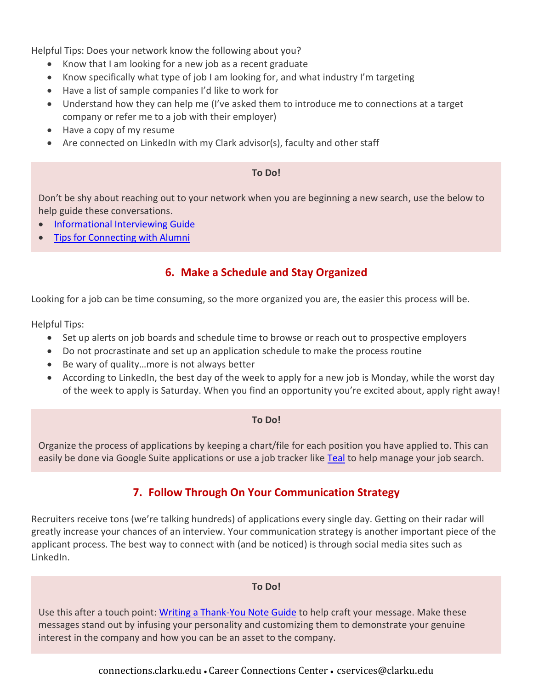Helpful Tips: Does your network know the following about you?

- Know that I am looking for a new job as a recent graduate
- Know specifically what type of job I am looking for, and what industry I'm targeting
- Have a list of sample companies I'd like to work for
- Understand how they can help me (I've asked them to introduce me to connections at a target company or refer me to a job with their employer)
- Have a copy of my resume
- Are connected on LinkedIn with my Clark advisor(s), faculty and other staff

## **To Do!**

Don't be shy about reaching out to your network when you are beginning a new search, use the below to help guide these conversations.

- [Informational Interviewing Guide](https://www.clarku.edu/offices/career-development/wp-content/blogs.dir/3/files/sites/74/2019/07/How-to-Do-Informational-Interviewing.pdf)
- [Tips for Connecting with Alumni](https://www.clarku.edu/offices/career-connections-center/wp-content/blogs.dir/3/files/sites/74/2020/01/Download-Guide-Tips-for-Connecting-with-Alumni.pdf)

# **6. Make a Schedule and Stay Organized**

Looking for a job can be time consuming, so the more organized you are, the easier this process will be.

Helpful Tips:

- Set up alerts on job boards and schedule time to browse or reach out to prospective employers
- Do not procrastinate and set up an application schedule to make the process routine
- Be wary of quality…more is not always better
- According to LinkedIn, the best day of the week to apply for a new job is Monday, while the worst day of the week to apply is Saturday. When you find an opportunity you're excited about, apply right away!

## **To Do!**

Organize the process of applications by keeping a chart/file for each position you have applied to. This can easily be done via Google Suite applications or use a job tracker like [Teal](https://www.tealhq.com/) to help manage your job search.

# **7. Follow Through On Your Communication Strategy**

Recruiters receive tons (we're talking hundreds) of applications every single day. Getting on their radar will greatly increase your chances of an interview. Your communication strategy is another important piece of the applicant process. The best way to connect with (and be noticed) is through social media sites such as LinkedIn.

## **To Do!**

Use this after a touch point: [Writing a Thank-You Note Guide](https://www.clarku.edu/offices/career-connections-center/wp-content/blogs.dir/3/files/sites/74/2020/01/Writing-a-Thank-You-Note.pdf) to help craft your message. Make these messages stand out by infusing your personality and customizing them to demonstrate your genuine interest in the company and how you can be an asset to the company.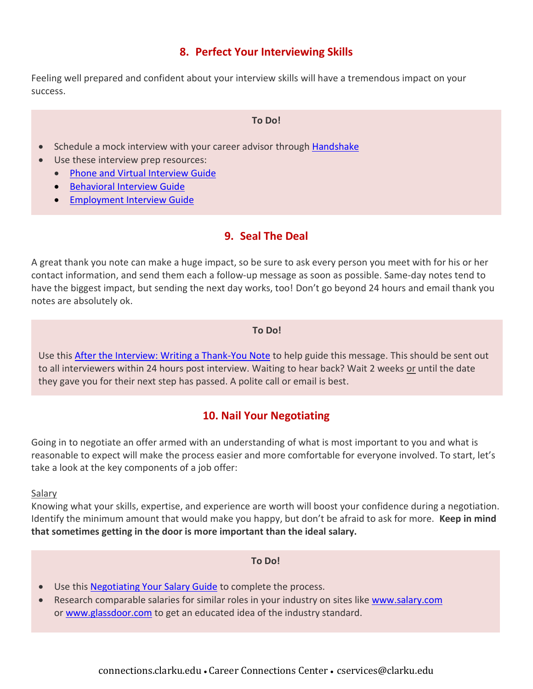# **8. Perfect Your Interviewing Skills**

Feeling well prepared and confident about your interview skills will have a tremendous impact on your success.

#### **To Do!**

- Schedule a mock interview with your career advisor through **Handshake**
- Use these interview prep resources:
	- [Phone and Virtual Interview Guide](https://www.clarku.edu/offices/career-connections-center/wp-content/blogs.dir/3/files/sites/74/2020/01/Phone-and-Skype-Interviews.pdf)
	- [Behavioral Interview Guide](https://www.clarku.edu/offices/career-connections-center/wp-content/blogs.dir/3/files/sites/74/2021/10/Behavioral_Interviewing.pdf)
	- [Employment Interview Guide](https://www.clarku.edu/offices/career-connections-center/wp-content/blogs.dir/3/files/sites/74/2021/10/Employment_Interview.pdf)

# **9. Seal The Deal**

A great thank you note can make a huge impact, so be sure to ask every person you meet with for his or her contact information, and send them each a follow-up message as soon as possible. Same-day notes tend to have the biggest impact, but sending the next day works, too! Don't go beyond 24 hours and email thank you notes are absolutely ok.

## **To Do!**

Use this [After the Interview: Writing a Thank-You Note](https://www.clarku.edu/offices/career-connections-center/wp-content/blogs.dir/3/files/sites/74/2020/01/Writing-a-Thank-You-Note.pdf) to help guide this message. This should be sent out to all interviewers within 24 hours post interview. Waiting to hear back? Wait 2 weeks or until the date they gave you for their next step has passed. A polite call or email is best.

# **10. Nail Your Negotiating**

Going in to negotiate an offer armed with an understanding of what is most important to you and what is reasonable to expect will make the process easier and more comfortable for everyone involved. To start, let's take a look at the key components of a job offer:

#### Salary

Knowing what your skills, expertise, and experience are worth will boost your confidence during a negotiation. Identify the minimum amount that would make you happy, but don't be afraid to ask for more. **Keep in mind that sometimes getting in the door is more important than the ideal salary.**

#### **To Do!**

- Use this **Negotiating Your Salary Guide** to complete the process.
- Research comparable salaries for similar roles in your industry on sites like [www.salary.com](http://www.salary.com/) or [www.glassdoor.com](http://www.glassdoor.com/) to get an educated idea of the industry standard.